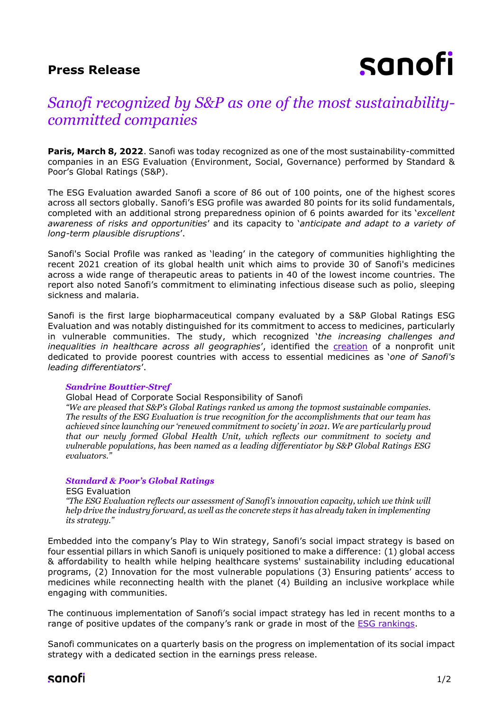## **Press Release**

# sanofi

## *Sanofi recognized by S&P as one of the most sustainabilitycommitted companies*

**Paris, March 8, 2022**. Sanofi was today recognized as one of the most sustainability-committed companies in an ESG Evaluation (Environment, Social, Governance) performed by Standard & Poor's Global Ratings (S&P).

The ESG Evaluation awarded Sanofi a score of 86 out of 100 points, one of the highest scores across all sectors globally. Sanofi's ESG profile was awarded 80 points for its solid fundamentals, completed with an additional strong preparedness opinion of 6 points awarded for its '*excellent awareness of risks and opportunities*' and its capacity to '*anticipate and adapt to a variety of long-term plausible disruptions*'.

Sanofi's Social Profile was ranked as 'leading' in the category of communities highlighting the recent 2021 creation of its global health unit which aims to provide 30 of Sanofi's medicines across a wide range of therapeutic areas to patients in 40 of the lowest income countries. The report also noted Sanofi's commitment to eliminating infectious disease such as polio, sleeping sickness and malaria.

Sanofi is the first large biopharmaceutical company evaluated by a S&P Global Ratings ESG Evaluation and was notably distinguished for its commitment to access to medicines, particularly in vulnerable communities. The study, which recognized '*the increasing challenges and inequalities in healthcare across all geographies*', identified the [creation](https://www.sanofi.com/en/media-room/press-releases/2021/2021-04-07-09-03-41-2205543) of a nonprofit unit dedicated to provide poorest countries with access to essential medicines as '*one of Sanofi's leading differentiators*'.

## *Sandrine Bouttier-Stref*

## Global Head of Corporate Social Responsibility of Sanofi

*"We are pleased that S&P's Global Ratings ranked us among the topmost sustainable companies. The results of the ESG Evaluation is true recognition for the accomplishments that our team has achieved since launching our 'renewed commitment to society' in 2021. We are particularly proud that our newly formed Global Health Unit, which reflects our commitment to society and vulnerable populations, has been named as a leading differentiator by S&P Global Ratings ESG evaluators."*

## *Standard & Poor's Global Ratings*

ESG Evaluation *"The ESG Evaluation reflects our assessment of Sanofi's innovation capacity, which we think will help drive the industry forward, as well as the concrete steps it has already taken in implementing its strategy."*

Embedded into the company's Play to Win strategy, Sanofi's social impact strategy is based on four essential pillars in which Sanofi is uniquely positioned to make a difference: (1) global access & affordability to health while helping healthcare systems' sustainability including educational programs, (2) Innovation for the most vulnerable populations (3) Ensuring patients' access to medicines while reconnecting health with the planet (4) Building an inclusive workplace while engaging with communities.

The continuous implementation of Sanofi's social impact strategy has led in recent months to a range of positive updates of the company's rank or grade in most of the **ESG** rankings.

Sanofi communicates on a quarterly basis on the progress on implementation of its social impact strategy with a dedicated section in the earnings press release.

## sanofi